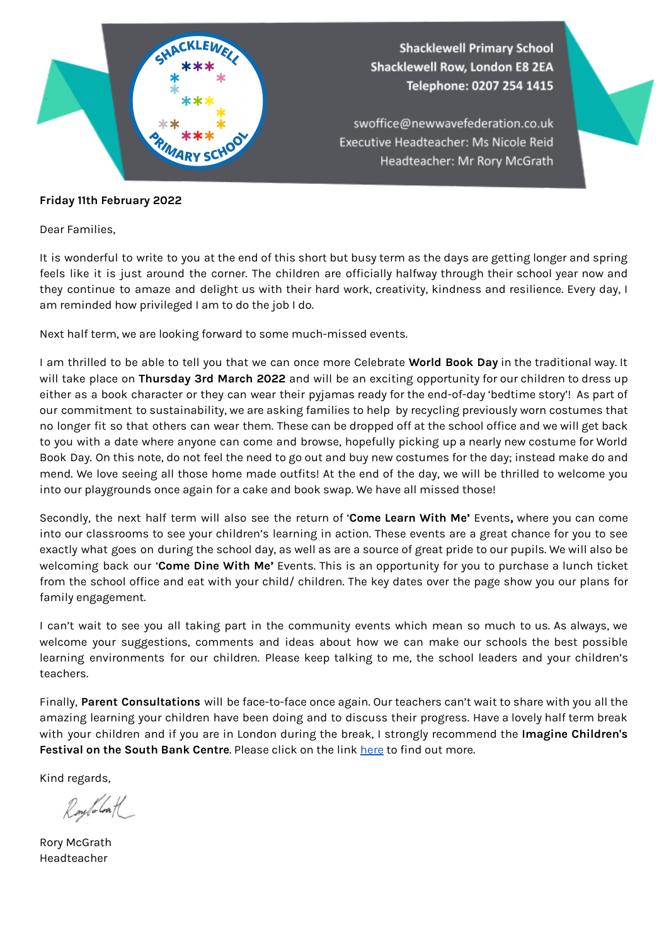

## **Friday 11th February 2022**

Dear Families,

It is wonderful to write to you at the end of this short but busy term as the days are getting longer and spring feels like it is just around the corner. The children are officially halfway through their school year now and they continue to amaze and delight us with their hard work, creativity, kindness and resilience. Every day, I am reminded how privileged I am to do the job I do.

Next half term, we are looking forward to some much-missed events.

I am thrilled to be able to tell you that we can once more Celebrate **World Book Day** in the traditional way. It will take place on **Thursday 3rd March 2022** and will be an exciting opportunity for our children to dress up either as a book character or they can wear their pyjamas ready for the end-of-day 'bedtime story'! As part of our commitment to sustainability, we are asking families to help by recycling previously worn costumes that no longer fit so that others can wear them. These can be dropped off at the school office and we will get back to you with a date where anyone can come and browse, hopefully picking up a nearly new costume for World Book Day. On this note, do not feel the need to go out and buy new costumes for the day; instead make do and mend. We love seeing all those home made outfits! At the end of the day, we will be thrilled to welcome you into our playgrounds once again for a cake and book swap. We have all missed those!

Secondly, the next half term will also see the return of '**Come Learn With Me'** Events**,** where you can come into our classrooms to see your children's learning in action. These events are a great chance for you to see exactly what goes on during the school day, as well as are a source of great pride to our pupils. We will also be welcoming back our '**Come Dine With Me'** Events. This is an opportunity for you to purchase a lunch ticket from the school office and eat with your child/ children. The key dates over the page show you our plans for family engagement.

I can't wait to see you all taking part in the community events which mean so much to us. As always, we welcome your suggestions, comments and ideas about how we can make our schools the best possible learning environments for our children. Please keep talking to me, the school leaders and your children's teachers.

Finally, **Parent Consultations** will be face-to-face once again. Our teachers can't wait to share with you all the amazing learning your children have been doing and to discuss their progress. Have a lovely half term break with your children and if you are in London during the break, I strongly recommend the **Imagine Children's Festival on the South Bank Centre**. Please click on the link [here](https://www.southbankcentre.co.uk/whats-on/festivals-series/imagine-childrens-festival) to find out more.

Kind regards,

Roylobal

Rory McGrath Headteacher